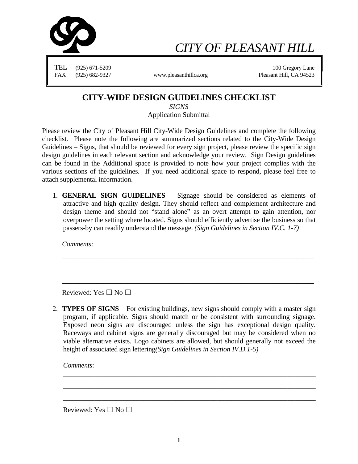

## *CITY OF PLEASANT HILL*

TEL (925) 671-5209 100 Gregory Lane FAX (925) 682-9327 www.pleasanthillca.org Pleasant Hill, CA 94523

## **CITY-WIDE DESIGN GUIDELINES CHECKLIST**

*SIGNS* Application Submittal

Please review the City of Pleasant Hill City-Wide Design Guidelines and complete the following checklist. Please note the following are summarized sections related to the City-Wide Design Guidelines – Signs, that should be reviewed for every sign project, please review the specific sign design guidelines in each relevant section and acknowledge your review. Sign Design guidelines can be found in the Additional space is provided to note how your project complies with the various sections of the guidelines. If you need additional space to respond, please feel free to attach supplemental information.

1. **GENERAL SIGN GUIDELINES** – Signage should be considered as elements of attractive and high quality design. They should reflect and complement architecture and design theme and should not "stand alone" as an overt attempt to gain attention, nor overpower the setting where located. Signs should efficiently advertise the business so that passers-by can readily understand the message. *(Sign Guidelines in Section IV.C. 1-7)*

\_\_\_\_\_\_\_\_\_\_\_\_\_\_\_\_\_\_\_\_\_\_\_\_\_\_\_\_\_\_\_\_\_\_\_\_\_\_\_\_\_\_\_\_\_\_\_\_\_\_\_\_\_\_\_\_\_\_\_\_\_\_\_\_\_\_\_\_\_\_\_\_\_

\_\_\_\_\_\_\_\_\_\_\_\_\_\_\_\_\_\_\_\_\_\_\_\_\_\_\_\_\_\_\_\_\_\_\_\_\_\_\_\_\_\_\_\_\_\_\_\_\_\_\_\_\_\_\_\_\_\_\_\_\_\_\_\_\_\_\_\_\_\_\_\_\_

\_\_\_\_\_\_\_\_\_\_\_\_\_\_\_\_\_\_\_\_\_\_\_\_\_\_\_\_\_\_\_\_\_\_\_\_\_\_\_\_\_\_\_\_\_\_\_\_\_\_\_\_\_\_\_\_\_\_\_\_\_\_\_\_\_\_\_\_\_\_\_\_\_

*Comments*:

Reviewed: Yes  $\Box$  No  $\Box$ 

2. **TYPES OF SIGNS** – For existing buildings, new signs should comply with a master sign program, if applicable. Signs should match or be consistent with surrounding signage. Exposed neon signs are discouraged unless the sign has exceptional design quality. Raceways and cabinet signs are generally discouraged but may be considered when no viable alternative exists. Logo cabinets are allowed, but should generally not exceed the height of associated sign lettering*(Sign Guidelines in Section IV.D.1-5)*

\_\_\_\_\_\_\_\_\_\_\_\_\_\_\_\_\_\_\_\_\_\_\_\_\_\_\_\_\_\_\_\_\_\_\_\_\_\_\_\_\_\_\_\_\_\_\_\_\_\_\_\_\_\_\_\_\_\_\_\_\_\_\_\_\_\_\_\_\_\_\_\_

\_\_\_\_\_\_\_\_\_\_\_\_\_\_\_\_\_\_\_\_\_\_\_\_\_\_\_\_\_\_\_\_\_\_\_\_\_\_\_\_\_\_\_\_\_\_\_\_\_\_\_\_\_\_\_\_\_\_\_\_\_\_\_\_\_\_\_\_\_\_\_\_

\_\_\_\_\_\_\_\_\_\_\_\_\_\_\_\_\_\_\_\_\_\_\_\_\_\_\_\_\_\_\_\_\_\_\_\_\_\_\_\_\_\_\_\_\_\_\_\_\_\_\_\_\_\_\_\_\_\_\_\_\_\_\_\_\_\_\_\_\_\_\_\_

*Comments*:

Reviewed: Yes  $\square$  No  $\square$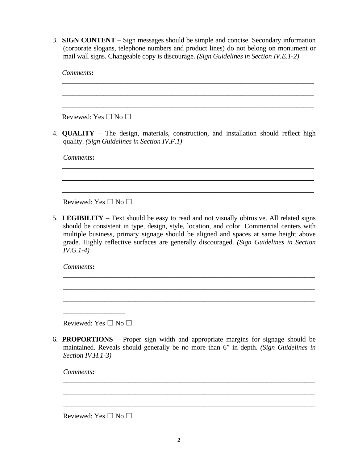3. **SIGN CONTENT –** Sign messages should be simple and concise. Secondary information (corporate slogans, telephone numbers and product lines) do not belong on monument or mail wall signs. Changeable copy is discourage. *(Sign Guidelines in Section IV.E.1-2)*

| Comments:                                                                                                                                                                                                                                                                                                                                                                                 |
|-------------------------------------------------------------------------------------------------------------------------------------------------------------------------------------------------------------------------------------------------------------------------------------------------------------------------------------------------------------------------------------------|
|                                                                                                                                                                                                                                                                                                                                                                                           |
| Reviewed: Yes $\square$ No $\square$                                                                                                                                                                                                                                                                                                                                                      |
| 4. <b>QUALITY</b> – The design, materials, construction, and installation should reflect high<br>quality. (Sign Guidelines in Section $IV.F.1$ )                                                                                                                                                                                                                                          |
| Comments:                                                                                                                                                                                                                                                                                                                                                                                 |
|                                                                                                                                                                                                                                                                                                                                                                                           |
| Reviewed: Yes $\square$ No $\square$                                                                                                                                                                                                                                                                                                                                                      |
| 5. LEGIBILITY – Text should be easy to read and not visually obtrusive. All related signs<br>should be consistent in type, design, style, location, and color. Commercial centers with<br>multiple business, primary signage should be aligned and spaces at same height above<br>grade. Highly reflective surfaces are generally discouraged. (Sign Guidelines in Section<br>$IV.G.1-4)$ |
| Comments:                                                                                                                                                                                                                                                                                                                                                                                 |
|                                                                                                                                                                                                                                                                                                                                                                                           |
|                                                                                                                                                                                                                                                                                                                                                                                           |
|                                                                                                                                                                                                                                                                                                                                                                                           |

Reviewed: Yes  $\square$  No  $\square$ 

6. **PROPORTIONS** – Proper sign width and appropriate margins for signage should be maintained. Reveals should generally be no more than 6" in depth. *(Sign Guidelines in Section IV.H.1-3)*

 $\_$  , and the set of the set of the set of the set of the set of the set of the set of the set of the set of the set of the set of the set of the set of the set of the set of the set of the set of the set of the set of th

 $\_$  , and the set of the set of the set of the set of the set of the set of the set of the set of the set of the set of the set of the set of the set of the set of the set of the set of the set of the set of the set of th

 $\_$  ,  $\_$  ,  $\_$  ,  $\_$  ,  $\_$  ,  $\_$  ,  $\_$  ,  $\_$  ,  $\_$  ,  $\_$  ,  $\_$  ,  $\_$  ,  $\_$  ,  $\_$  ,  $\_$  ,  $\_$  ,  $\_$  ,  $\_$  ,  $\_$  ,  $\_$  ,  $\_$  ,  $\_$  ,  $\_$  ,  $\_$  ,  $\_$  ,  $\_$  ,  $\_$  ,  $\_$  ,  $\_$  ,  $\_$  ,  $\_$  ,  $\_$  ,  $\_$  ,  $\_$  ,  $\_$  ,  $\_$  ,  $\_$  ,

*Comments***:**

Reviewed: Yes  $\square$  No  $\square$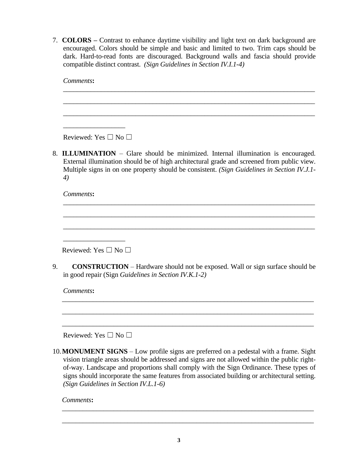7. **COLORS –** Contrast to enhance daytime visibility and light text on dark background are encouraged. Colors should be simple and basic and limited to two. Trim caps should be dark. Hard-to-read fonts are discouraged. Background walls and fascia should provide compatible distinct contrast. *(Sign Guidelines in Section IV.I.1-4)*

|    | Comments:                                                                                                                                                                                                                                                                            |
|----|--------------------------------------------------------------------------------------------------------------------------------------------------------------------------------------------------------------------------------------------------------------------------------------|
|    |                                                                                                                                                                                                                                                                                      |
|    | Reviewed: Yes $\square$ No $\square$                                                                                                                                                                                                                                                 |
|    | 8. ILLUMINATION - Glare should be minimized. Internal illumination is encouraged.<br>External illumination should be of high architectural grade and screened from public view.<br>Multiple signs in on one property should be consistent. (Sign Guidelines in Section IV.J.1-<br>4) |
|    | Comments:                                                                                                                                                                                                                                                                            |
|    |                                                                                                                                                                                                                                                                                      |
|    | Reviewed: Yes $\Box$ No $\Box$                                                                                                                                                                                                                                                       |
| 9. | <b>CONSTRUCTION</b> – Hardware should not be exposed. Wall or sign surface should be<br>in good repair (Sign Guidelines in Section IV.K.1-2)                                                                                                                                         |
|    | Comments:                                                                                                                                                                                                                                                                            |

Reviewed: Yes  $\square$  No  $\square$ 

10.**MONUMENT SIGNS** – Low profile signs are preferred on a pedestal with a frame. Sight vision triangle areas should be addressed and signs are not allowed within the public rightof-way. Landscape and proportions shall comply with the Sign Ordinance. These types of signs should incorporate the same features from associated building or architectural setting. *(Sign Guidelines in Section IV.L.1-6)*

\_\_\_\_\_\_\_\_\_\_\_\_\_\_\_\_\_\_\_\_\_\_\_\_\_\_\_\_\_\_\_\_\_\_\_\_\_\_\_\_\_\_\_\_\_\_\_\_\_\_\_\_\_\_\_\_\_\_\_\_\_\_\_\_\_\_\_\_\_\_\_\_\_

\_\_\_\_\_\_\_\_\_\_\_\_\_\_\_\_\_\_\_\_\_\_\_\_\_\_\_\_\_\_\_\_\_\_\_\_\_\_\_\_\_\_\_\_\_\_\_\_\_\_\_\_\_\_\_\_\_\_\_\_\_\_\_\_\_\_\_\_\_\_\_\_\_

\_\_\_\_\_\_\_\_\_\_\_\_\_\_\_\_\_\_\_\_\_\_\_\_\_\_\_\_\_\_\_\_\_\_\_\_\_\_\_\_\_\_\_\_\_\_\_\_\_\_\_\_\_\_\_\_\_\_\_\_\_\_\_\_\_\_\_\_\_\_\_\_\_

\_\_\_\_\_\_\_\_\_\_\_\_\_\_\_\_\_\_\_\_\_\_\_\_\_\_\_\_\_\_\_\_\_\_\_\_\_\_\_\_\_\_\_\_\_\_\_\_\_\_\_\_\_\_\_\_\_\_\_\_\_\_\_\_\_\_\_\_\_\_\_\_\_

\_\_\_\_\_\_\_\_\_\_\_\_\_\_\_\_\_\_\_\_\_\_\_\_\_\_\_\_\_\_\_\_\_\_\_\_\_\_\_\_\_\_\_\_\_\_\_\_\_\_\_\_\_\_\_\_\_\_\_\_\_\_\_\_\_\_\_\_\_\_\_\_\_

*Comments***:**